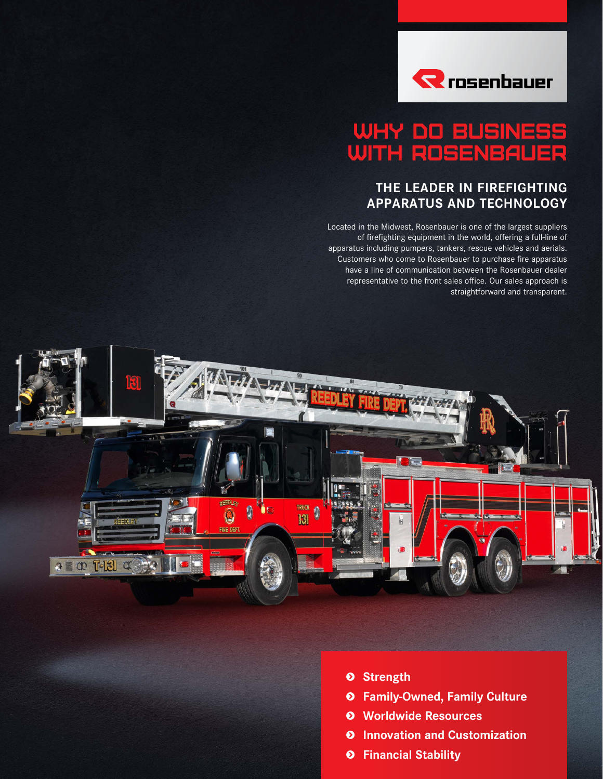

## WHY DO BUSINESS WITH ROSENBAUER

### **THE LEADER IN FIREFIGHTING APPARATUS AND TECHNOLOGY**

Located in the Midwest, Rosenbauer is one of the largest suppliers of firefighting equipment in the world, offering a full-line of apparatus including pumpers, tankers, rescue vehicles and aerials. Customers who come to Rosenbauer to purchase fire apparatus have a line of communication between the Rosenbauer dealer representative to the front sales office. Our sales approach is straightforward and transparent.



- **s Strength**
- **s Family-Owned, Family Culture**
- **s Worldwide Resources**
- **s Innovation and Customization**
- **s Financial Stability**